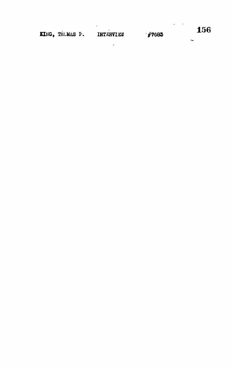KING, THUMAS P. INTERVIEW

 $\sim 10^4$ 

 $\sim$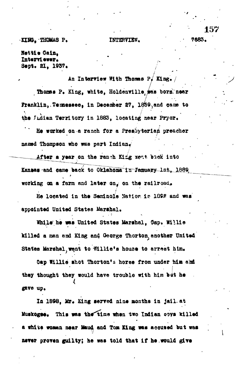**EXING, THOMAS P. INTERVIEW,**  $\frac{1}{2}$  **7683.** 

**Nettie Oain, Interviewer.**<br>Sept. 21, 1937.

**Thomas P. King, white, Holdenville was born near Thoaos P, King, white, Holdenrille, was born, near Franklin,. Temtssee\* in Deeenber 27, 1859-,and can© to the Xuiian Territory in 1883, locating near Pryor.**

**Sept, 21, 1937, /**

**He worked on a ranch for a Presbyter iaji preacher**

After a year on the ranch King went back into **After a year on the ranch King writ, biok into is an objective**  $\mathbf{S}$ ;  $\mathbf{S}$ **working on a farm and later on, on the railroad.**

**He located in the Seminofe Nation in** *IQ9P-* **and was appointed United States Marshal.**

**While" he was United States Marshal, Oap» Willie killed a man and King and George Thorton^ another United** States Marshal went to Willie's house to arrest him.

**Oap Willie shot Thorton\*s horse from under him a'od • I they thought they would have trouble with him bit he** *i* gave up.

In 1898, Mr. King served nine months in jail at Muskogee. This was the time when two Indian ooys killed **a white woman near Maud and Tom King was aooused but was newer proven guilty; he was told that if he would give**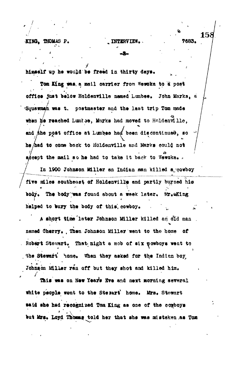KING. THOMAS P.

himself up he would be freed in thirty days.

Tom King was, a mail carrier from Wewoka to a post office just below Holdenville named Lumbee. John Marks, a Squawmah was t. postmester and the last trip Tom made when he reached Lumbse, Marks had moved to Holdenville. and the post office at Lumbes had been discontinued, so he had to come back to Holdenville and Marks could not accept the mail so he had to take it back to Wewoka.

In 1900 Johnson Miller an Indian man killed a cowboy five miles southeast of Holdenville and partly burned his body. The body was found about a week later. Mr.aKing helped to bury the body of this, cowboy.

A short time later Johnson Miller killed an old man named Cherry. Then Johnson Miller went to the home of Robert Stewart. That night a mob of six powboys went to the Stewart home. When they asked for the Indian boy Johnson Miller ran off but they shot and killed him.

This was on New Year's Nve and next morning several white people wont to the Stewart' home. Mrs. Stewart said she had recognized Tom King as one of the comboys but Mrs. Loyd Thomas told her that she was mistaken as Tom